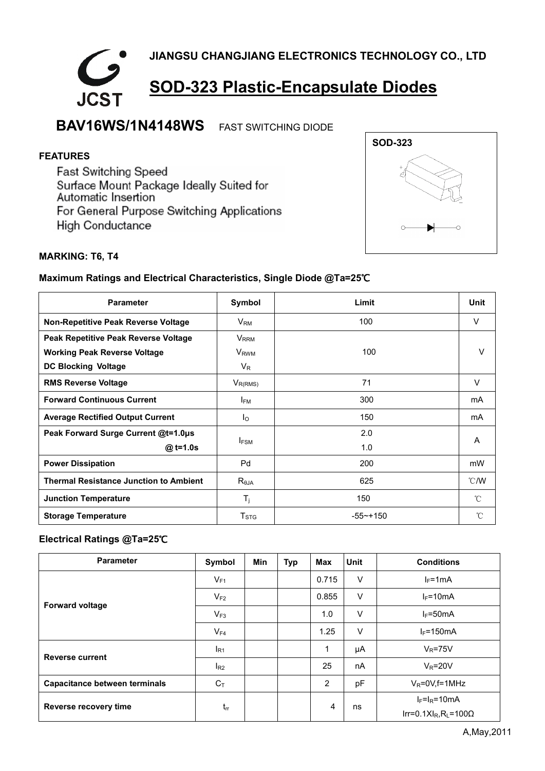

## **BAV16WS/1N4148WS** FAST SWITCHING DIODE

### **FEATURES**

Fast Switching Speed Surface Mount Package Ideally Suited for Automatic Insertion For General Purpose Switching Applications **High Conductance** 



#### **MARKING: T6, T4**

#### **Maximum Ratings and Electrical Characteristics, Single Diode @Ta=25**℃

| <b>Parameter</b>                              | Symbol                    | Limit       | Unit           |
|-----------------------------------------------|---------------------------|-------------|----------------|
| Non-Repetitive Peak Reverse Voltage           | $V_{\mathsf{RM}}$         | 100         | V              |
| Peak Repetitive Peak Reverse Voltage          | <b>V</b> <sub>RRM</sub>   |             |                |
| <b>Working Peak Reverse Voltage</b>           | <b>V</b> <sub>RWM</sub>   | 100         | V              |
| <b>DC Blocking Voltage</b>                    | $V_{R}$                   |             |                |
| <b>RMS Reverse Voltage</b>                    | $V_{R(RMS)}$              | 71          | V              |
| <b>Forward Continuous Current</b>             | <b>IFM</b>                | 300         | mA             |
| <b>Average Rectified Output Current</b>       | I <sub>O</sub>            | 150         | mA             |
| Peak Forward Surge Current @t=1.0µs           |                           | 2.0         | A              |
| @ t=1.0s                                      | <b>IFSM</b>               | 1.0         |                |
| <b>Power Dissipation</b>                      | Pd                        | 200         | mW             |
| <b>Thermal Resistance Junction to Ambient</b> | $R_{\theta$ JA            | 625         | $^{\circ}$ C/W |
| <b>Junction Temperature</b>                   | $T_{j}$                   | 150         | °C             |
| <b>Storage Temperature</b>                    | $\mathsf{T}_{\text{STG}}$ | $-55$ ~+150 | $^{\circ}$ C   |

#### **Electrical Ratings @Ta=25**℃

| <b>Parameter</b>                     | Symbol   | <b>Min</b> | <b>Typ</b> | Max   | <b>Unit</b> | <b>Conditions</b>           |
|--------------------------------------|----------|------------|------------|-------|-------------|-----------------------------|
| <b>Forward voltage</b>               | $V_{F1}$ |            |            | 0.715 | $\vee$      | $I_F = 1mA$                 |
|                                      | $V_{F2}$ |            |            | 0.855 | $\vee$      | $I_F = 10mA$                |
|                                      | $V_{F3}$ |            |            | 1.0   | $\vee$      | $I_F = 50mA$                |
|                                      | $V_{F4}$ |            |            | 1.25  | $\vee$      | $I_F = 150mA$               |
| <b>Reverse current</b>               | $I_{R1}$ |            |            | 1     | μA          | $V_R = 75V$                 |
|                                      | $I_{R2}$ |            |            | 25    | nA          | $V_R = 20V$                 |
| <b>Capacitance between terminals</b> | $C_T$    |            |            | 2     | pF          | $V_R = 0V$ , f = 1MHz       |
| Reverse recovery time                | $t_{rr}$ |            |            | 4     | ns          | $I_F=I_R=10mA$              |
|                                      |          |            |            |       |             | $Ir=0.1XI_R, R_1=100\Omega$ |